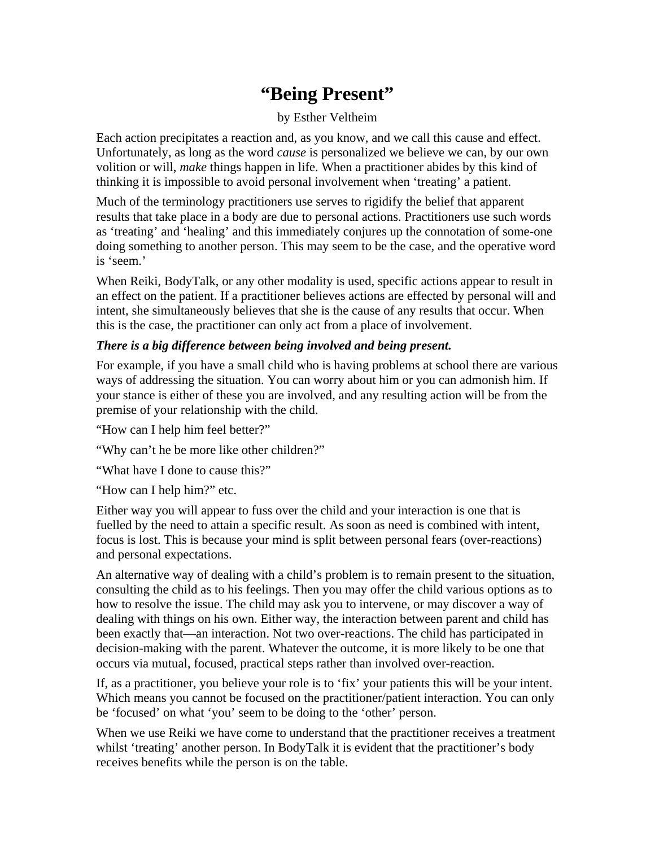## **"Being Present"**

## by Esther Veltheim

Each action precipitates a reaction and, as you know, and we call this cause and effect. Unfortunately, as long as the word *cause* is personalized we believe we can, by our own volition or will, *make* things happen in life. When a practitioner abides by this kind of thinking it is impossible to avoid personal involvement when 'treating' a patient.

Much of the terminology practitioners use serves to rigidify the belief that apparent results that take place in a body are due to personal actions. Practitioners use such words as 'treating' and 'healing' and this immediately conjures up the connotation of some-one doing something to another person. This may seem to be the case, and the operative word is 'seem.'

When Reiki, BodyTalk, or any other modality is used, specific actions appear to result in an effect on the patient. If a practitioner believes actions are effected by personal will and intent, she simultaneously believes that she is the cause of any results that occur. When this is the case, the practitioner can only act from a place of involvement.

## *There is a big difference between being involved and being present.*

For example, if you have a small child who is having problems at school there are various ways of addressing the situation. You can worry about him or you can admonish him. If your stance is either of these you are involved, and any resulting action will be from the premise of your relationship with the child.

"How can I help him feel better?"

"Why can't he be more like other children?"

"What have I done to cause this?"

"How can I help him?" etc.

Either way you will appear to fuss over the child and your interaction is one that is fuelled by the need to attain a specific result. As soon as need is combined with intent, focus is lost. This is because your mind is split between personal fears (over-reactions) and personal expectations.

An alternative way of dealing with a child's problem is to remain present to the situation, consulting the child as to his feelings. Then you may offer the child various options as to how to resolve the issue. The child may ask you to intervene, or may discover a way of dealing with things on his own. Either way, the interaction between parent and child has been exactly that—an interaction. Not two over-reactions. The child has participated in decision-making with the parent. Whatever the outcome, it is more likely to be one that occurs via mutual, focused, practical steps rather than involved over-reaction.

If, as a practitioner, you believe your role is to 'fix' your patients this will be your intent. Which means you cannot be focused on the practitioner/patient interaction. You can only be 'focused' on what 'you' seem to be doing to the 'other' person.

When we use Reiki we have come to understand that the practitioner receives a treatment whilst 'treating' another person. In BodyTalk it is evident that the practitioner's body receives benefits while the person is on the table.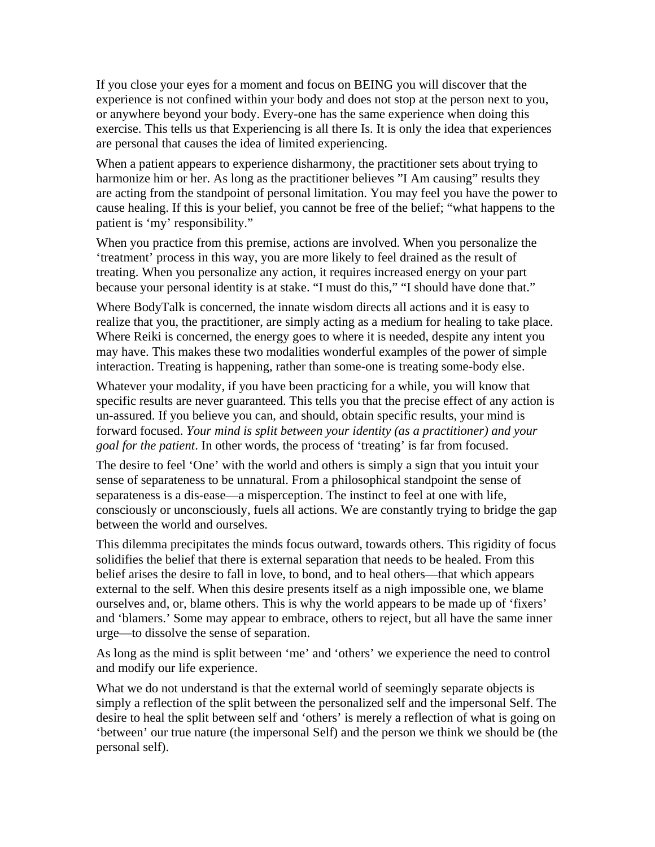If you close your eyes for a moment and focus on BEING you will discover that the experience is not confined within your body and does not stop at the person next to you, or anywhere beyond your body. Every-one has the same experience when doing this exercise. This tells us that Experiencing is all there Is. It is only the idea that experiences are personal that causes the idea of limited experiencing.

When a patient appears to experience disharmony, the practitioner sets about trying to harmonize him or her. As long as the practitioner believes "I Am causing" results they are acting from the standpoint of personal limitation. You may feel you have the power to cause healing. If this is your belief, you cannot be free of the belief; "what happens to the patient is 'my' responsibility."

When you practice from this premise, actions are involved. When you personalize the 'treatment' process in this way, you are more likely to feel drained as the result of treating. When you personalize any action, it requires increased energy on your part because your personal identity is at stake. "I must do this," "I should have done that."

Where BodyTalk is concerned, the innate wisdom directs all actions and it is easy to realize that you, the practitioner, are simply acting as a medium for healing to take place. Where Reiki is concerned, the energy goes to where it is needed, despite any intent you may have. This makes these two modalities wonderful examples of the power of simple interaction. Treating is happening, rather than some-one is treating some-body else.

Whatever your modality, if you have been practicing for a while, you will know that specific results are never guaranteed. This tells you that the precise effect of any action is un-assured. If you believe you can, and should, obtain specific results, your mind is forward focused. *Your mind is split between your identity (as a practitioner) and your goal for the patient*. In other words, the process of 'treating' is far from focused.

The desire to feel 'One' with the world and others is simply a sign that you intuit your sense of separateness to be unnatural. From a philosophical standpoint the sense of separateness is a dis-ease—a misperception. The instinct to feel at one with life, consciously or unconsciously, fuels all actions. We are constantly trying to bridge the gap between the world and ourselves.

This dilemma precipitates the minds focus outward, towards others. This rigidity of focus solidifies the belief that there is external separation that needs to be healed. From this belief arises the desire to fall in love, to bond, and to heal others—that which appears external to the self. When this desire presents itself as a nigh impossible one, we blame ourselves and, or, blame others. This is why the world appears to be made up of 'fixers' and 'blamers.' Some may appear to embrace, others to reject, but all have the same inner urge—to dissolve the sense of separation.

As long as the mind is split between 'me' and 'others' we experience the need to control and modify our life experience.

What we do not understand is that the external world of seemingly separate objects is simply a reflection of the split between the personalized self and the impersonal Self. The desire to heal the split between self and 'others' is merely a reflection of what is going on 'between' our true nature (the impersonal Self) and the person we think we should be (the personal self).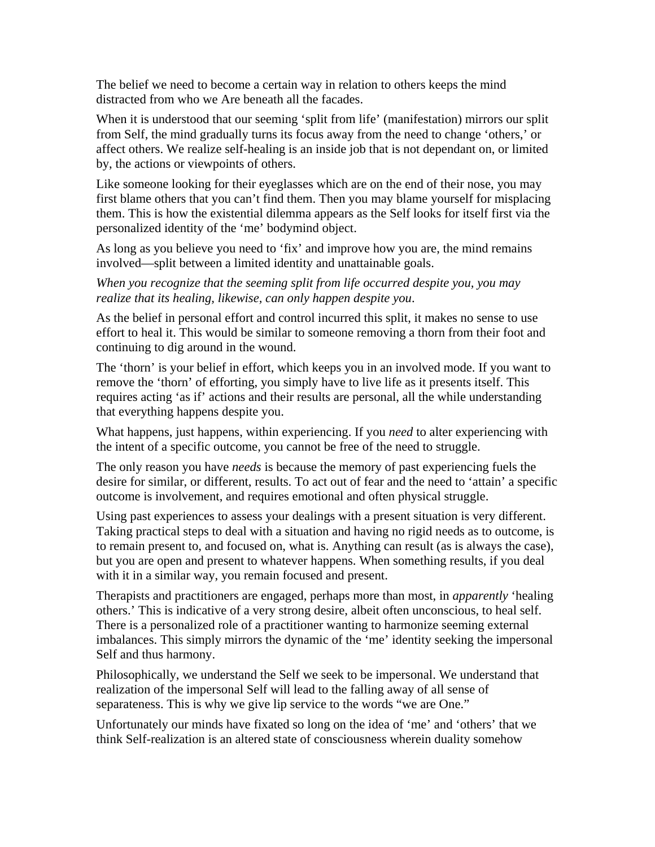The belief we need to become a certain way in relation to others keeps the mind distracted from who we Are beneath all the facades.

When it is understood that our seeming 'split from life' (manifestation) mirrors our split from Self, the mind gradually turns its focus away from the need to change 'others,' or affect others. We realize self-healing is an inside job that is not dependant on, or limited by, the actions or viewpoints of others.

Like someone looking for their eyeglasses which are on the end of their nose, you may first blame others that you can't find them. Then you may blame yourself for misplacing them. This is how the existential dilemma appears as the Self looks for itself first via the personalized identity of the 'me' bodymind object.

As long as you believe you need to 'fix' and improve how you are, the mind remains involved—split between a limited identity and unattainable goals.

*When you recognize that the seeming split from life occurred despite you, you may realize that its healing, likewise, can only happen despite you*.

As the belief in personal effort and control incurred this split, it makes no sense to use effort to heal it. This would be similar to someone removing a thorn from their foot and continuing to dig around in the wound.

The 'thorn' is your belief in effort, which keeps you in an involved mode. If you want to remove the 'thorn' of efforting, you simply have to live life as it presents itself. This requires acting 'as if' actions and their results are personal, all the while understanding that everything happens despite you.

What happens, just happens, within experiencing. If you *need* to alter experiencing with the intent of a specific outcome, you cannot be free of the need to struggle.

The only reason you have *needs* is because the memory of past experiencing fuels the desire for similar, or different, results. To act out of fear and the need to 'attain' a specific outcome is involvement, and requires emotional and often physical struggle.

Using past experiences to assess your dealings with a present situation is very different. Taking practical steps to deal with a situation and having no rigid needs as to outcome, is to remain present to, and focused on, what is. Anything can result (as is always the case), but you are open and present to whatever happens. When something results, if you deal with it in a similar way, you remain focused and present.

Therapists and practitioners are engaged, perhaps more than most, in *apparently* 'healing others.' This is indicative of a very strong desire, albeit often unconscious, to heal self. There is a personalized role of a practitioner wanting to harmonize seeming external imbalances. This simply mirrors the dynamic of the 'me' identity seeking the impersonal Self and thus harmony.

Philosophically, we understand the Self we seek to be impersonal. We understand that realization of the impersonal Self will lead to the falling away of all sense of separateness. This is why we give lip service to the words "we are One."

Unfortunately our minds have fixated so long on the idea of 'me' and 'others' that we think Self-realization is an altered state of consciousness wherein duality somehow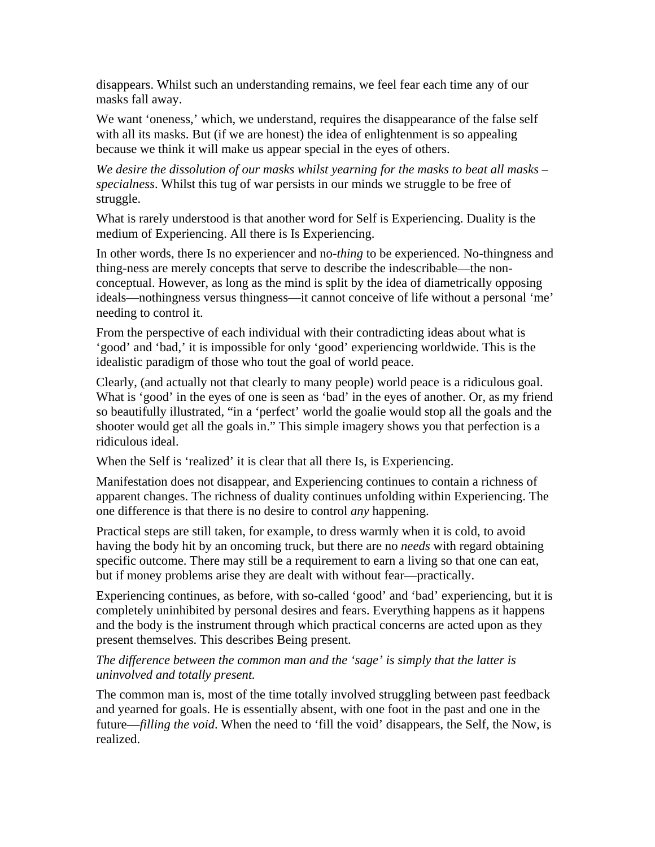disappears. Whilst such an understanding remains, we feel fear each time any of our masks fall away.

We want 'oneness,' which, we understand, requires the disappearance of the false self with all its masks. But (if we are honest) the idea of enlightenment is so appealing because we think it will make us appear special in the eyes of others.

*We desire the dissolution of our masks whilst yearning for the masks to beat all masks – specialness*. Whilst this tug of war persists in our minds we struggle to be free of struggle.

What is rarely understood is that another word for Self is Experiencing. Duality is the medium of Experiencing. All there is Is Experiencing.

In other words, there Is no experiencer and no-*thing* to be experienced. No-thingness and thing-ness are merely concepts that serve to describe the indescribable—the nonconceptual. However, as long as the mind is split by the idea of diametrically opposing ideals—nothingness versus thingness—it cannot conceive of life without a personal 'me' needing to control it.

From the perspective of each individual with their contradicting ideas about what is 'good' and 'bad,' it is impossible for only 'good' experiencing worldwide. This is the idealistic paradigm of those who tout the goal of world peace.

Clearly, (and actually not that clearly to many people) world peace is a ridiculous goal. What is 'good' in the eyes of one is seen as 'bad' in the eyes of another. Or, as my friend so beautifully illustrated, "in a 'perfect' world the goalie would stop all the goals and the shooter would get all the goals in." This simple imagery shows you that perfection is a ridiculous ideal.

When the Self is 'realized' it is clear that all there Is, is Experiencing.

Manifestation does not disappear, and Experiencing continues to contain a richness of apparent changes. The richness of duality continues unfolding within Experiencing. The one difference is that there is no desire to control *any* happening.

Practical steps are still taken, for example, to dress warmly when it is cold, to avoid having the body hit by an oncoming truck, but there are no *needs* with regard obtaining specific outcome. There may still be a requirement to earn a living so that one can eat, but if money problems arise they are dealt with without fear—practically.

Experiencing continues, as before, with so-called 'good' and 'bad' experiencing, but it is completely uninhibited by personal desires and fears. Everything happens as it happens and the body is the instrument through which practical concerns are acted upon as they present themselves. This describes Being present.

*The difference between the common man and the 'sage' is simply that the latter is uninvolved and totally present.* 

The common man is, most of the time totally involved struggling between past feedback and yearned for goals. He is essentially absent, with one foot in the past and one in the future—*filling the void*. When the need to 'fill the void' disappears, the Self, the Now, is realized.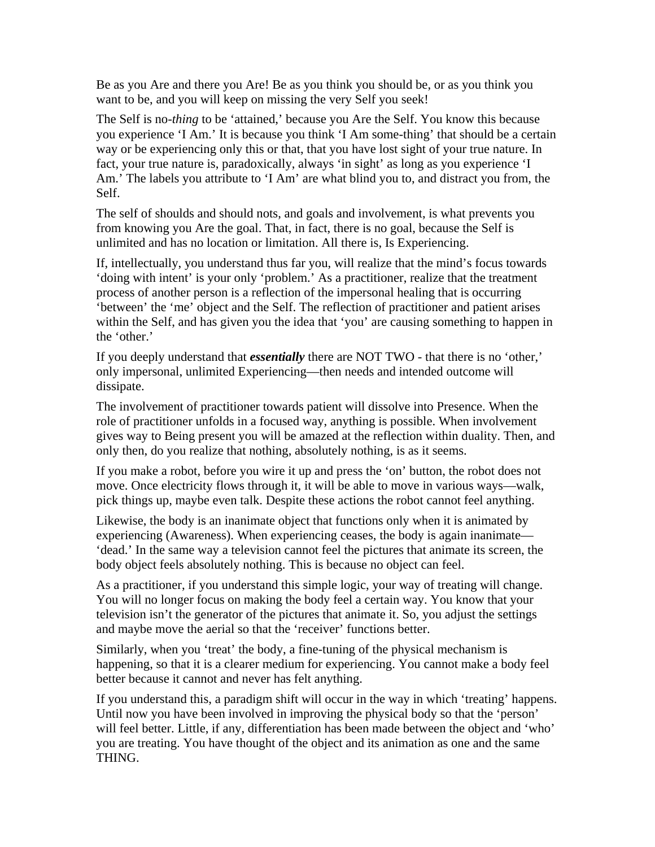Be as you Are and there you Are! Be as you think you should be, or as you think you want to be, and you will keep on missing the very Self you seek!

The Self is no-*thing* to be 'attained,' because you Are the Self. You know this because you experience 'I Am.' It is because you think 'I Am some-thing' that should be a certain way or be experiencing only this or that, that you have lost sight of your true nature. In fact, your true nature is, paradoxically, always 'in sight' as long as you experience 'I Am.' The labels you attribute to 'I Am' are what blind you to, and distract you from, the Self.

The self of shoulds and should nots, and goals and involvement, is what prevents you from knowing you Are the goal. That, in fact, there is no goal, because the Self is unlimited and has no location or limitation. All there is, Is Experiencing.

If, intellectually, you understand thus far you, will realize that the mind's focus towards 'doing with intent' is your only 'problem.' As a practitioner, realize that the treatment process of another person is a reflection of the impersonal healing that is occurring 'between' the 'me' object and the Self. The reflection of practitioner and patient arises within the Self, and has given you the idea that 'you' are causing something to happen in the 'other.'

If you deeply understand that *essentially* there are NOT TWO - that there is no 'other,' only impersonal, unlimited Experiencing—then needs and intended outcome will dissipate.

The involvement of practitioner towards patient will dissolve into Presence. When the role of practitioner unfolds in a focused way, anything is possible. When involvement gives way to Being present you will be amazed at the reflection within duality. Then, and only then, do you realize that nothing, absolutely nothing, is as it seems.

If you make a robot, before you wire it up and press the 'on' button, the robot does not move. Once electricity flows through it, it will be able to move in various ways—walk, pick things up, maybe even talk. Despite these actions the robot cannot feel anything.

Likewise, the body is an inanimate object that functions only when it is animated by experiencing (Awareness). When experiencing ceases, the body is again inanimate— 'dead.' In the same way a television cannot feel the pictures that animate its screen, the body object feels absolutely nothing. This is because no object can feel.

As a practitioner, if you understand this simple logic, your way of treating will change. You will no longer focus on making the body feel a certain way. You know that your television isn't the generator of the pictures that animate it. So, you adjust the settings and maybe move the aerial so that the 'receiver' functions better.

Similarly, when you 'treat' the body, a fine-tuning of the physical mechanism is happening, so that it is a clearer medium for experiencing. You cannot make a body feel better because it cannot and never has felt anything.

If you understand this, a paradigm shift will occur in the way in which 'treating' happens. Until now you have been involved in improving the physical body so that the 'person' will feel better. Little, if any, differentiation has been made between the object and 'who' you are treating. You have thought of the object and its animation as one and the same THING.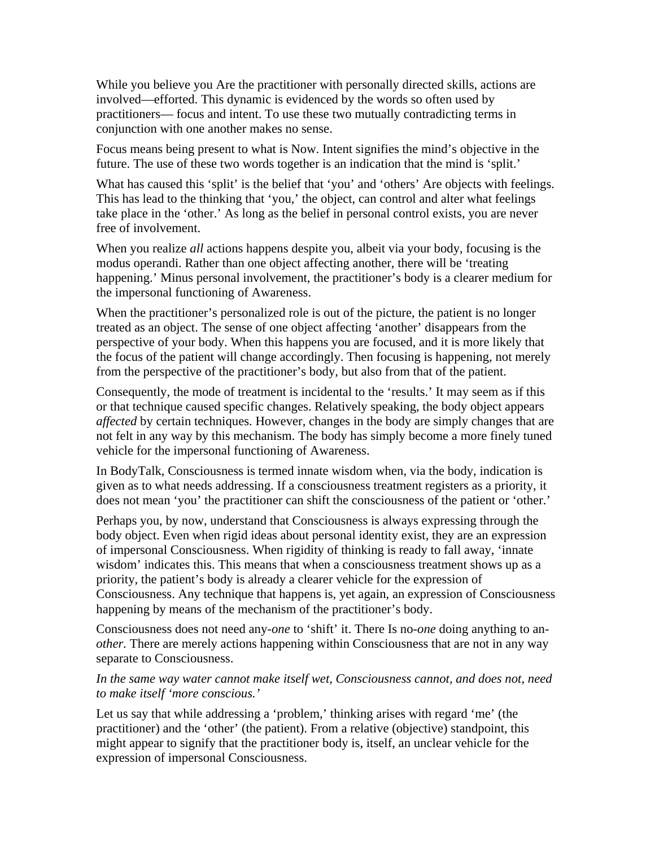While you believe you Are the practitioner with personally directed skills, actions are involved—efforted. This dynamic is evidenced by the words so often used by practitioners— focus and intent. To use these two mutually contradicting terms in conjunction with one another makes no sense.

Focus means being present to what is Now. Intent signifies the mind's objective in the future. The use of these two words together is an indication that the mind is 'split.'

What has caused this 'split' is the belief that 'you' and 'others' Are objects with feelings. This has lead to the thinking that 'you,' the object, can control and alter what feelings take place in the 'other.' As long as the belief in personal control exists, you are never free of involvement.

When you realize *all* actions happens despite you, albeit via your body, focusing is the modus operandi. Rather than one object affecting another, there will be 'treating happening.' Minus personal involvement, the practitioner's body is a clearer medium for the impersonal functioning of Awareness.

When the practitioner's personalized role is out of the picture, the patient is no longer treated as an object. The sense of one object affecting 'another' disappears from the perspective of your body. When this happens you are focused, and it is more likely that the focus of the patient will change accordingly. Then focusing is happening, not merely from the perspective of the practitioner's body, but also from that of the patient.

Consequently, the mode of treatment is incidental to the 'results.' It may seem as if this or that technique caused specific changes. Relatively speaking, the body object appears *affected* by certain techniques. However, changes in the body are simply changes that are not felt in any way by this mechanism. The body has simply become a more finely tuned vehicle for the impersonal functioning of Awareness.

In BodyTalk, Consciousness is termed innate wisdom when, via the body, indication is given as to what needs addressing. If a consciousness treatment registers as a priority, it does not mean 'you' the practitioner can shift the consciousness of the patient or 'other.'

Perhaps you, by now, understand that Consciousness is always expressing through the body object. Even when rigid ideas about personal identity exist, they are an expression of impersonal Consciousness. When rigidity of thinking is ready to fall away, 'innate wisdom' indicates this. This means that when a consciousness treatment shows up as a priority, the patient's body is already a clearer vehicle for the expression of Consciousness. Any technique that happens is, yet again, an expression of Consciousness happening by means of the mechanism of the practitioner's body.

Consciousness does not need any-*one* to 'shift' it. There Is no-*one* doing anything to an*other.* There are merely actions happening within Consciousness that are not in any way separate to Consciousness.

## *In the same way water cannot make itself wet, Consciousness cannot, and does not, need to make itself 'more conscious.'*

Let us say that while addressing a 'problem,' thinking arises with regard 'me' (the practitioner) and the 'other' (the patient). From a relative (objective) standpoint, this might appear to signify that the practitioner body is, itself, an unclear vehicle for the expression of impersonal Consciousness.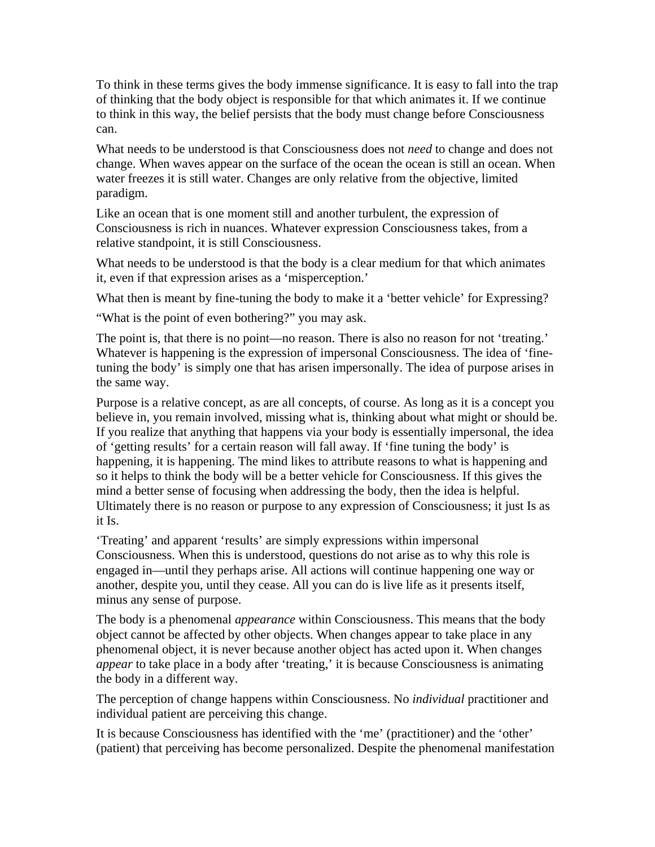To think in these terms gives the body immense significance. It is easy to fall into the trap of thinking that the body object is responsible for that which animates it. If we continue to think in this way, the belief persists that the body must change before Consciousness can.

What needs to be understood is that Consciousness does not *need* to change and does not change. When waves appear on the surface of the ocean the ocean is still an ocean. When water freezes it is still water. Changes are only relative from the objective, limited paradigm.

Like an ocean that is one moment still and another turbulent, the expression of Consciousness is rich in nuances. Whatever expression Consciousness takes, from a relative standpoint, it is still Consciousness.

What needs to be understood is that the body is a clear medium for that which animates it, even if that expression arises as a 'misperception.'

What then is meant by fine-tuning the body to make it a 'better vehicle' for Expressing?

"What is the point of even bothering?" you may ask.

The point is, that there is no point—no reason. There is also no reason for not 'treating.' Whatever is happening is the expression of impersonal Consciousness. The idea of 'finetuning the body' is simply one that has arisen impersonally. The idea of purpose arises in the same way.

Purpose is a relative concept, as are all concepts, of course. As long as it is a concept you believe in, you remain involved, missing what is, thinking about what might or should be. If you realize that anything that happens via your body is essentially impersonal, the idea of 'getting results' for a certain reason will fall away. If 'fine tuning the body' is happening, it is happening. The mind likes to attribute reasons to what is happening and so it helps to think the body will be a better vehicle for Consciousness. If this gives the mind a better sense of focusing when addressing the body, then the idea is helpful. Ultimately there is no reason or purpose to any expression of Consciousness; it just Is as it Is.

'Treating' and apparent 'results' are simply expressions within impersonal Consciousness. When this is understood, questions do not arise as to why this role is engaged in—until they perhaps arise. All actions will continue happening one way or another, despite you, until they cease. All you can do is live life as it presents itself, minus any sense of purpose.

The body is a phenomenal *appearance* within Consciousness. This means that the body object cannot be affected by other objects. When changes appear to take place in any phenomenal object, it is never because another object has acted upon it. When changes *appear* to take place in a body after 'treating,' it is because Consciousness is animating the body in a different way.

The perception of change happens within Consciousness. No *individual* practitioner and individual patient are perceiving this change.

It is because Consciousness has identified with the 'me' (practitioner) and the 'other' (patient) that perceiving has become personalized. Despite the phenomenal manifestation